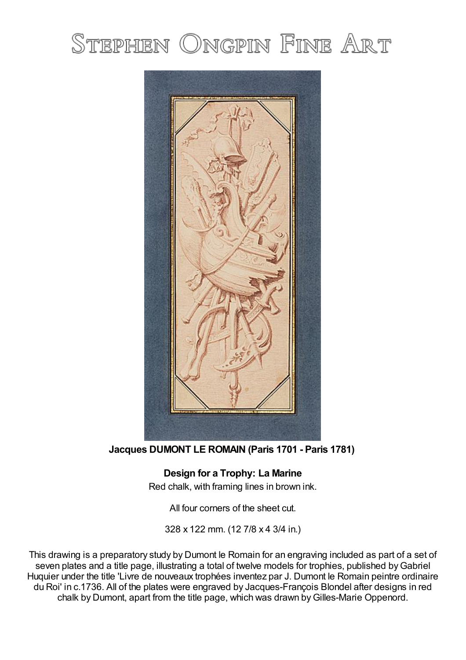## STEPHEN ONGPIN FINE ART



**Jacques DUMONT LE ROMAIN (Paris 1701 - Paris 1781)**

**Design for a Trophy: La Marine** Red chalk, with framing lines in brown ink.

All four corners of the sheet cut.

328 x 122 mm. (12 7/8 x 4 3/4 in.)

This drawing is a preparatory study by Dumont le Romain for an engraving included as part of a set of seven plates and a title page, illustrating a total of twelve models for trophies, published by Gabriel Huquier under the title 'Livre de nouveaux trophées inventez par J. Dumont le Romain peintre ordinaire du Roi' in c.1736. All of the plates were engraved by Jacques-François Blondel after designs in red chalk by Dumont, apart from the title page, which was drawn byGilles-Marie Oppenord.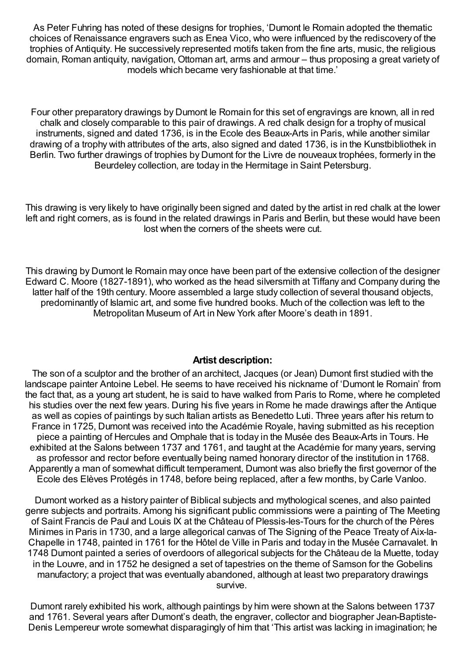As Peter Fuhring has noted of these designs for trophies, 'Dumont le Romain adopted the thematic choices of Renaissance engravers such as Enea Vico, who were influenced by the rediscovery of the trophies of Antiquity. He successively represented motifs taken from the fine arts, music, the religious domain, Roman antiquity, navigation, Ottoman art, arms and armour – thus proposing a great variety of models which became very fashionable at that time.'

Four other preparatory drawings by Dumont le Romain for this set of engravings are known, all in red chalk and closely comparable to this pair of drawings. A red chalk design for a trophy of musical instruments, signed and dated 1736, is in the Ecole des Beaux-Arts in Paris, while another similar drawing of a trophy with attributes of the arts, also signed and dated 1736, is in the Kunstbibliothek in Berlin. Two further drawings of trophies by Dumont for the Livre de nouveaux trophées, formerly in the Beurdeley collection, are today in the Hermitage in Saint Petersburg.

This drawing is very likely to have originally been signed and dated by the artist in red chalk at the lower left and right corners, as is found in the related drawings in Paris and Berlin, but these would have been lost when the corners of the sheets were cut.

This drawing by Dumont le Romain may once have been part of the extensive collection of the designer Edward C. Moore (1827-1891), who worked as the head silversmith at Tiffany and Company during the latter half of the 19th century. Moore assembled a large study collection of several thousand objects, predominantly of Islamic art, and some five hundred books. Much of the collection was left to the Metropolitan Museum of Art in New York after Moore's death in 1891.

## **Artist description:**

The son of a sculptor and the brother of an architect, Jacques (or Jean) Dumont first studied with the landscape painter Antoine Lebel. He seems to have received his nickname of 'Dumont le Romain' from the fact that, as a young art student, he is said to have walked from Paris to Rome, where he completed his studies over the next few years. During his five years in Rome he made drawings after the Antique as well as copies of paintings by such Italian artists as Benedetto Luti. Three years after his return to France in 1725, Dumont was received into the Académie Royale, having submitted as his reception piece a painting of Hercules and Omphale that is today in the Musée des Beaux-Arts in Tours. He exhibited at the Salons between 1737 and 1761, and taught at the Académie for many years, serving as professor and rector before eventually being named honorary director of the institution in 1768. Apparently a man of somewhat difficult temperament, Dumont was also briefly the first governor of the Ecole des Elèves Protégés in 1748, before being replaced, after a few months, by Carle Vanloo.

Dumont worked as a history painter of Biblical subjects and mythological scenes, and also painted genre subjects and portraits. Among his significant public commissions were a painting of The Meeting of Saint Francis de Paul and Louis IX at the Château of Plessis-les-Tours for the church of the Pères Minimes in Paris in 1730, and a large allegorical canvas of The Signing of the Peace Treaty of Aix-la-Chapelle in 1748, painted in 1761 for the Hôtel de Ville in Paris and today in the Musée Carnavalet. In 1748 Dumont painted a series of overdoors of allegorical subjects for the Château de la Muette, today in the Louvre, and in 1752 he designed a set of tapestries on the theme of Samson for the Gobelins manufactory; a project that was eventually abandoned, although at least two preparatory drawings survive.

Dumont rarely exhibited his work, although paintings by him were shown at the Salons between 1737 and 1761. Several years after Dumont's death, the engraver, collector and biographer Jean-Baptiste-Denis Lempereur wrote somewhat disparagingly of him that 'This artist was lacking in imagination; he